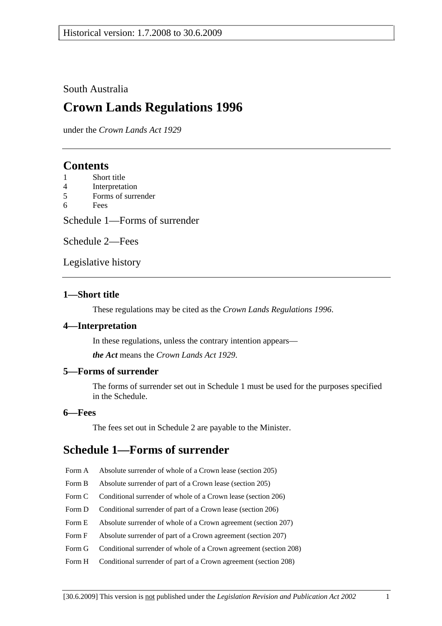### South Australia

# **Crown Lands Regulations 1996**

under the *Crown Lands Act 1929*

# **Contents**

- 1 Short title
- 4 Interpretation
- 5 Forms of surrender
- 6 Fees

Schedule 1—Forms of surrender

Schedule 2—Fees

Legislative history

### **1—Short title**

These regulations may be cited as the *Crown Lands Regulations 1996*.

### **4—Interpretation**

In these regulations, unless the contrary intention appears—

*the Act* means the *Crown Lands Act 1929*.

### **5—Forms of surrender**

The forms of surrender set out in Schedule 1 must be used for the purposes specified in the Schedule.

#### **6—Fees**

The fees set out in Schedule 2 are payable to the Minister.

# **Schedule 1—Forms of surrender**

- Form A Absolute surrender of whole of a Crown lease (section 205)
- Form B Absolute surrender of part of a Crown lease (section 205)
- Form C Conditional surrender of whole of a Crown lease (section 206)
- Form D Conditional surrender of part of a Crown lease (section 206)
- Form E Absolute surrender of whole of a Crown agreement (section 207)
- Form F Absolute surrender of part of a Crown agreement (section 207)
- Form G Conditional surrender of whole of a Crown agreement (section 208)
- Form H Conditional surrender of part of a Crown agreement (section 208)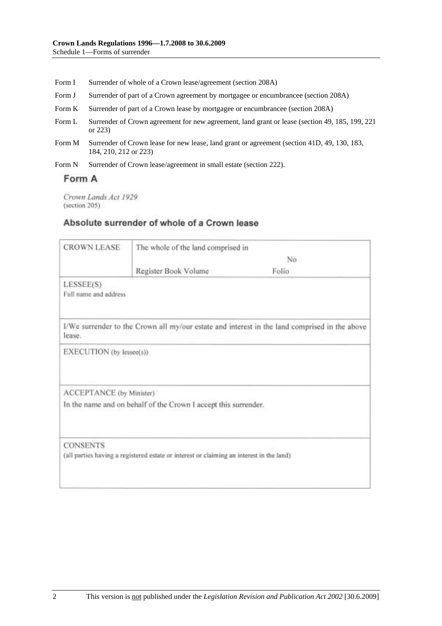- Form I Surrender of whole of a Crown lease/agreement (section 208A)
- Form J Surrender of part of a Crown agreement by mortgagee or encumbrancee (section 208A)
- Form K Surrender of part of a Crown lease by mortgagee or encumbrancee (section 208A)
- Form L Surrender of Crown agreement for new agreement, land grant or lease (section 49, 185, 199, 221 or 223)
- Form M Surrender of Crown lease for new lease, land grant or agreement (section 41D, 49, 130, 183, 184, 210, 212 or 223)
- Form N Surrender of Crown lease/agreement in small estate (section 222).

### Form A

Crown Lands Act 1929 (section 205)

### Absolute surrender of whole of a Crown lease

| <b>CROWN LEASE</b>                 | The whole of the land comprised in                                                       |                                                                                               |  |
|------------------------------------|------------------------------------------------------------------------------------------|-----------------------------------------------------------------------------------------------|--|
|                                    | No                                                                                       |                                                                                               |  |
|                                    | Register Book Volume                                                                     | Folio                                                                                         |  |
| LESSEE(S)<br>Full name and address |                                                                                          |                                                                                               |  |
| lease.                             |                                                                                          | I/We surrender to the Crown all my/our estate and interest in the land comprised in the above |  |
| EXECUTION (by lessee(s))           |                                                                                          |                                                                                               |  |
| ACCEPTANCE (by Minister)           |                                                                                          |                                                                                               |  |
|                                    | In the name and on behalf of the Crown I accept this surrender.                          |                                                                                               |  |
| <b>CONSENTS</b>                    | (all parties having a registered estate or interest or claiming an interest in the land) |                                                                                               |  |
|                                    |                                                                                          |                                                                                               |  |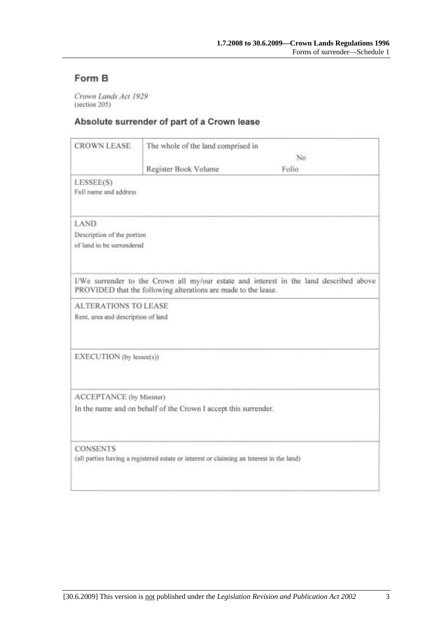# Form B

Crown Lands Act 1929 (section 205)

## Absolute surrender of part of a Crown lease

| <b>CROWN LEASE</b>                 | The whole of the land comprised in                                                       |                                                                                        |  |
|------------------------------------|------------------------------------------------------------------------------------------|----------------------------------------------------------------------------------------|--|
|                                    | No                                                                                       |                                                                                        |  |
|                                    | Register Book Volume                                                                     | Folio                                                                                  |  |
| LESSEE(S)<br>Full name and address |                                                                                          |                                                                                        |  |
| LAND                               |                                                                                          |                                                                                        |  |
| Description of the portion         |                                                                                          |                                                                                        |  |
| of land to be surrendered          |                                                                                          |                                                                                        |  |
|                                    | PROVIDED that the following alterations are made to the lease.                           | I/We surrender to the Crown all my/our estate and interest in the land described above |  |
| <b>ALTERATIONS TO LEASE</b>        |                                                                                          |                                                                                        |  |
| Rent, area and description of land |                                                                                          |                                                                                        |  |
|                                    |                                                                                          |                                                                                        |  |
| EXECUTION (by lessee(s))           |                                                                                          |                                                                                        |  |
| ACCEPTANCE (by Minister)           |                                                                                          |                                                                                        |  |
|                                    | In the name and on behalf of the Crown I accept this surrender.                          |                                                                                        |  |
| <b>CONSENTS</b>                    |                                                                                          |                                                                                        |  |
|                                    | (all parties having a registered estate or interest or claiming an interest in the land) |                                                                                        |  |
|                                    |                                                                                          |                                                                                        |  |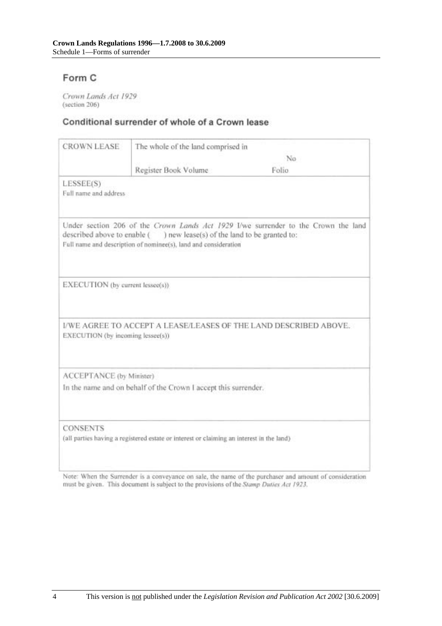# Form C

Crown Lands Act 1929 (section 206)

### Conditional surrender of whole of a Crown lease

| <b>CROWN LEASE</b>                 | The whole of the land comprised in                                                                                                         |                                                                                    |
|------------------------------------|--------------------------------------------------------------------------------------------------------------------------------------------|------------------------------------------------------------------------------------|
|                                    | No                                                                                                                                         |                                                                                    |
|                                    | Register Book Volume                                                                                                                       | Folio.                                                                             |
| LESSEE(S)<br>Full name and address |                                                                                                                                            |                                                                                    |
|                                    | described above to enable () new lease(s) of the land to be granted to:<br>Full name and description of nominee(s), land and consideration | Under section 206 of the Crown Lands Act 1929 I/we surrender to the Crown the land |
| EXECUTION (by current lessee(s))   |                                                                                                                                            |                                                                                    |
| EXECUTION (by incoming lessee(s))  |                                                                                                                                            | I/WE AGREE TO ACCEPT A LEASE/LEASES OF THE LAND DESCRIBED ABOVE.                   |
| ACCEPTANCE (by Minister)           |                                                                                                                                            |                                                                                    |
|                                    | In the name and on behalf of the Crown I accept this surrender.                                                                            |                                                                                    |
|                                    |                                                                                                                                            |                                                                                    |

Note: When the Surrender is a conveyance on sale, the name of the purchaser and amount of consideration must be given. This document is subject to the provisions of the Stamp Duties Act 1923.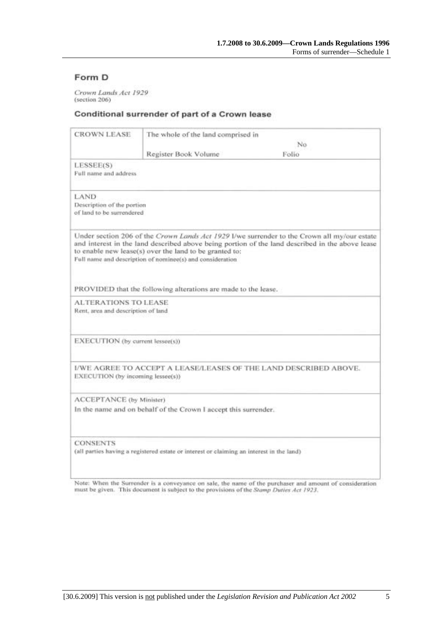### Form D

Crown Lands Act 1929 (section 206)

#### Conditional surrender of part of a Crown lease

| <b>CROWN LEASE</b>                                                                                          | The whole of the land comprised in                                                                                  |                                                                                                                                                                                                |
|-------------------------------------------------------------------------------------------------------------|---------------------------------------------------------------------------------------------------------------------|------------------------------------------------------------------------------------------------------------------------------------------------------------------------------------------------|
|                                                                                                             |                                                                                                                     | No.<br>Folio                                                                                                                                                                                   |
| LESSEE(S)<br>Full name and address                                                                          | Register Book Volume                                                                                                |                                                                                                                                                                                                |
| LAND.<br>Description of the portion<br>of land to be surrendered                                            |                                                                                                                     |                                                                                                                                                                                                |
|                                                                                                             | to enable new lease(s) over the land to be granted to:<br>Full name and description of nominee(s) and consideration | Under section 206 of the Crown Lands Act 1929 I/we surrender to the Crown all my/our estate<br>and interest in the land described above being portion of the land described in the above lease |
|                                                                                                             | PROVIDED that the following alterations are made to the lease.                                                      |                                                                                                                                                                                                |
| <b>ALTERATIONS TO LEASE</b><br>Rent, area and description of land                                           |                                                                                                                     |                                                                                                                                                                                                |
| EXECUTION (by current lessee(s))                                                                            |                                                                                                                     |                                                                                                                                                                                                |
| EXECUTION (by incoming lessee(s))                                                                           | I/WE AGREE TO ACCEPT A LEASE/LEASES OF THE LAND DESCRIBED ABOVE.                                                    |                                                                                                                                                                                                |
| ACCEPTANCE (by Minister)                                                                                    | In the name and on behalf of the Crown I accept this surrender.                                                     |                                                                                                                                                                                                |
| <b>CONSENTS</b><br>(all parties having a registered estate or interest or claiming an interest in the land) |                                                                                                                     |                                                                                                                                                                                                |

Note: When the Surrender is a conveyance on sale, the name of the purchaser and amount of consideration must be given. This document is subject to the provisions of the Stamp Duties Act 1923.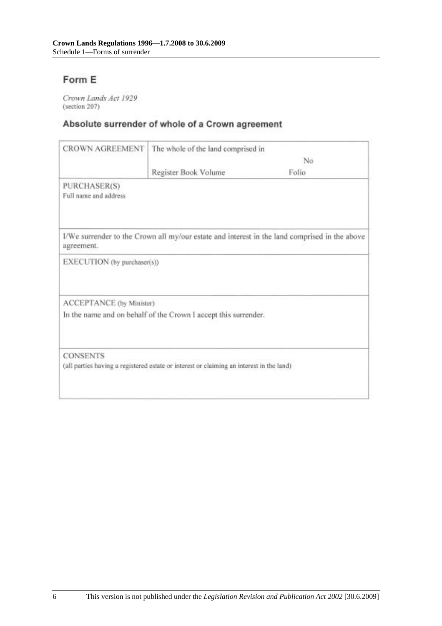# Form E

Crown Lands Act 1929 (section 207)

# Absolute surrender of whole of a Crown agreement

| <b>CROWN AGREEMENT</b>                | The whole of the land comprised in                                                       |                                                                                               |
|---------------------------------------|------------------------------------------------------------------------------------------|-----------------------------------------------------------------------------------------------|
|                                       | No                                                                                       |                                                                                               |
|                                       | Register Book Volume                                                                     | Folio                                                                                         |
| PURCHASER(S)<br>Full name and address |                                                                                          |                                                                                               |
| agreement.                            |                                                                                          | I/We surrender to the Crown all my/our estate and interest in the land comprised in the above |
| EXECUTION (by purchaser(s))           |                                                                                          |                                                                                               |
| ACCEPTANCE (by Minister)              |                                                                                          |                                                                                               |
|                                       | In the name and on behalf of the Crown I accept this surrender.                          |                                                                                               |
| <b>CONSENTS</b>                       |                                                                                          |                                                                                               |
|                                       | (all parties having a registered estate or interest or claiming an interest in the land) |                                                                                               |
|                                       |                                                                                          |                                                                                               |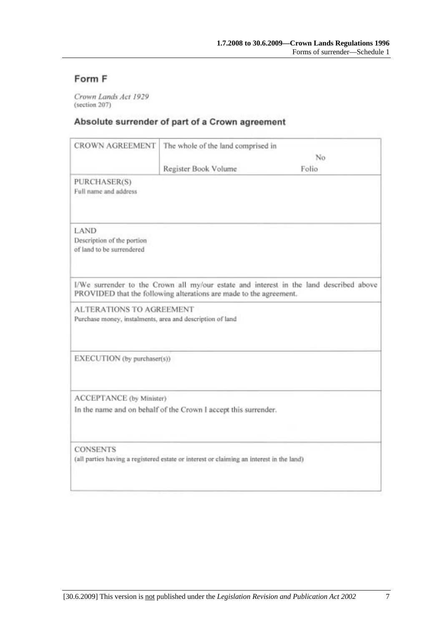# Form F

Crown Lands Act 1929 (section 207)

## Absolute surrender of part of a Crown agreement

| <b>CROWN AGREEMENT</b>                                                                       | The whole of the land comprised in                                 |                                                                                        |
|----------------------------------------------------------------------------------------------|--------------------------------------------------------------------|----------------------------------------------------------------------------------------|
|                                                                                              |                                                                    | No                                                                                     |
|                                                                                              | Register Book Volume                                               | Folio                                                                                  |
| PURCHASER(S)<br>Full name and address                                                        |                                                                    |                                                                                        |
| LAND<br>Description of the portion<br>of land to be surrendered                              |                                                                    |                                                                                        |
|                                                                                              | PROVIDED that the following alterations are made to the agreement. | I/We surrender to the Crown all my/our estate and interest in the land described above |
| <b>ALTERATIONS TO AGREEMENT</b><br>Purchase money, instalments, area and description of land |                                                                    |                                                                                        |
| EXECUTION (by purchaser(s))                                                                  |                                                                    |                                                                                        |
| ACCEPTANCE (by Minister)                                                                     |                                                                    |                                                                                        |
|                                                                                              | In the name and on behalf of the Crown I accept this surrender.    |                                                                                        |
| <b>CONSENTS</b>                                                                              |                                                                    |                                                                                        |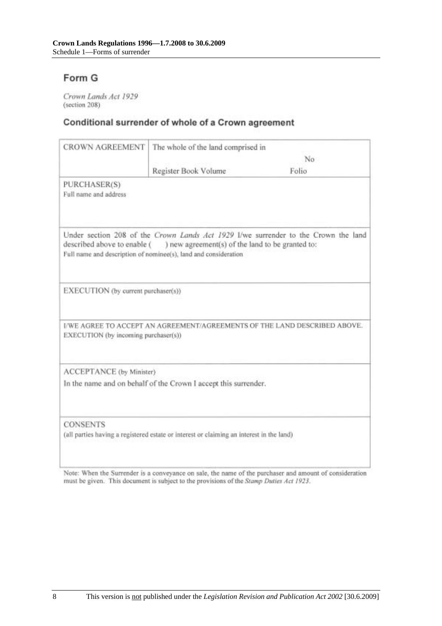# Form G

Crown Lands Act 1929 (section 208)

# Conditional surrender of whole of a Crown agreement

| No                                                                                       |                                                                                                                                                                                                                                                                                                      |
|------------------------------------------------------------------------------------------|------------------------------------------------------------------------------------------------------------------------------------------------------------------------------------------------------------------------------------------------------------------------------------------------------|
|                                                                                          | Folio                                                                                                                                                                                                                                                                                                |
|                                                                                          |                                                                                                                                                                                                                                                                                                      |
| ) new agreement(s) of the land to be granted to:                                         | Under section 208 of the Crown Lands Act 1929 I/we surrender to the Crown the land                                                                                                                                                                                                                   |
|                                                                                          |                                                                                                                                                                                                                                                                                                      |
|                                                                                          | I/WE AGREE TO ACCEPT AN AGREEMENT/AGREEMENTS OF THE LAND DESCRIBED ABOVE.                                                                                                                                                                                                                            |
|                                                                                          |                                                                                                                                                                                                                                                                                                      |
|                                                                                          |                                                                                                                                                                                                                                                                                                      |
| (all parties having a registered estate or interest or claiming an interest in the land) |                                                                                                                                                                                                                                                                                                      |
|                                                                                          | Register Book Volume<br>described above to enable (<br>Full name and description of nominee(s), land and consideration<br>EXECUTION (by current purchaser(s))<br>EXECUTION (by incoming purchaser(s))<br>ACCEPTANCE (by Minister)<br>In the name and on behalf of the Crown I accept this surrender. |

Note: When the Surrender is a conveyance on sale, the name of the purchaser and amount of consideration must be given. This document is subject to the provisions of the Stamp Duties Act 1923.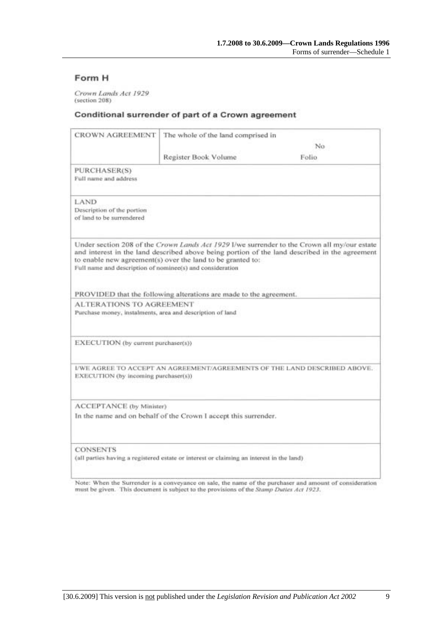### Form H

Crown Lands Act 1929 (section 208)

#### Conditional surrender of part of a Crown agreement

| CROWN AGREEMENT                                                                              | The whole of the land comprised in                                 |                                                                                                                                                                                              |
|----------------------------------------------------------------------------------------------|--------------------------------------------------------------------|----------------------------------------------------------------------------------------------------------------------------------------------------------------------------------------------|
|                                                                                              |                                                                    | No.                                                                                                                                                                                          |
|                                                                                              | Register Book Volume                                               | Folio.                                                                                                                                                                                       |
| PURCHASER(S)<br>Full name and address                                                        |                                                                    |                                                                                                                                                                                              |
| LAND<br>Description of the portion<br>of land to be surrendered                              |                                                                    |                                                                                                                                                                                              |
| Full name and description of nominee(s) and consideration                                    | to enable new agreement(s) over the land to be granted to:         | Under section 208 of the Crown Lands Act 1929 I/we surrender to the Crown all my/our estate<br>and interest in the land described above being portion of the land described in the agreement |
|                                                                                              | PROVIDED that the following alterations are made to the agreement. |                                                                                                                                                                                              |
| <b>ALTERATIONS TO AGREEMENT</b><br>Purchase money, instalments, area and description of land |                                                                    |                                                                                                                                                                                              |
| EXECUTION (by current purchaser(s))                                                          |                                                                    |                                                                                                                                                                                              |
| EXECUTION (by incoming purchaser(s))                                                         |                                                                    | I/WE AGREE TO ACCEPT AN AGREEMENT/AGREEMENTS OF THE LAND DESCRIBED ABOVE.                                                                                                                    |
| ACCEPTANCE (by Minister)                                                                     |                                                                    |                                                                                                                                                                                              |
|                                                                                              | In the name and on behalf of the Crown I accept this surrender.    |                                                                                                                                                                                              |
| <b>CONSENTS</b>                                                                              |                                                                    |                                                                                                                                                                                              |

Note: When the Surrender is a conveyance on sale, the name of the purchaser and amount of consideration must be given. This document is subject to the provisions of the Stamp Dutles Act 1923.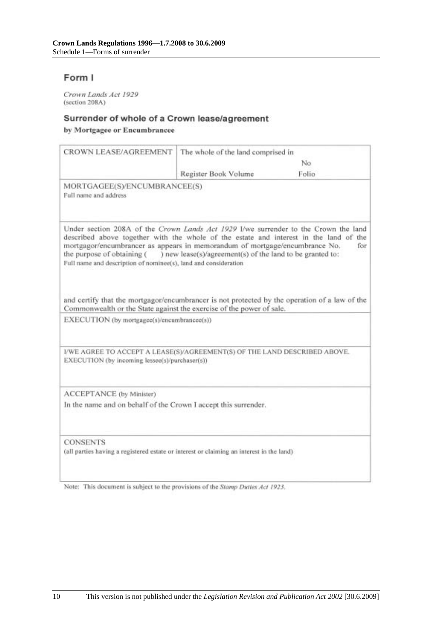## Form I

Crown Lands Act 1929 (section 208A)

#### Surrender of whole of a Crown lease/agreement

by Mortgagee or Encumbrancee

| CROWN LEASE/AGREEMENT                                                                                                                                                                                                                                                                                                                                        | The whole of the land comprised in                        |       |
|--------------------------------------------------------------------------------------------------------------------------------------------------------------------------------------------------------------------------------------------------------------------------------------------------------------------------------------------------------------|-----------------------------------------------------------|-------|
|                                                                                                                                                                                                                                                                                                                                                              |                                                           | No    |
|                                                                                                                                                                                                                                                                                                                                                              | Register Book Volume                                      | Folio |
| MORTGAGEE(S)/ENCUMBRANCEE(S)<br>Full name and address                                                                                                                                                                                                                                                                                                        |                                                           |       |
| Under section 208A of the Crown Lands Act 1929 I/we surrender to the Crown the land<br>described above together with the whole of the estate and interest in the land of the<br>mortgagor/encumbrancer as appears in memorandum of mortgage/encumbrance No.<br>the purpose of obtaining (<br>Full name and description of nominee(s), land and consideration | ) new lease(s)/agreement(s) of the land to be granted to: | for   |
| and certify that the mortgagor/encumbrancer is not protected by the operation of a law of the<br>Commonwealth or the State against the exercise of the power of sale.<br>EXECUTION (by mortgagee(s)/encumbrancee(s))                                                                                                                                         |                                                           |       |
| I/WE AGREE TO ACCEPT A LEASE(S)/AGREEMENT(S) OF THE LAND DESCRIBED ABOVE.<br>EXECUTION (by incoming lessee(s)/purchaser(s))                                                                                                                                                                                                                                  |                                                           |       |
| ACCEPTANCE (by Minister)<br>In the name and on behalf of the Crown I accept this surrender.                                                                                                                                                                                                                                                                  |                                                           |       |
| <b>CONSENTS</b><br>(all parties having a registered estate or interest or claiming an interest in the land)                                                                                                                                                                                                                                                  |                                                           |       |

Note: This document is subject to the provisions of the Stamp Duties Act 1923.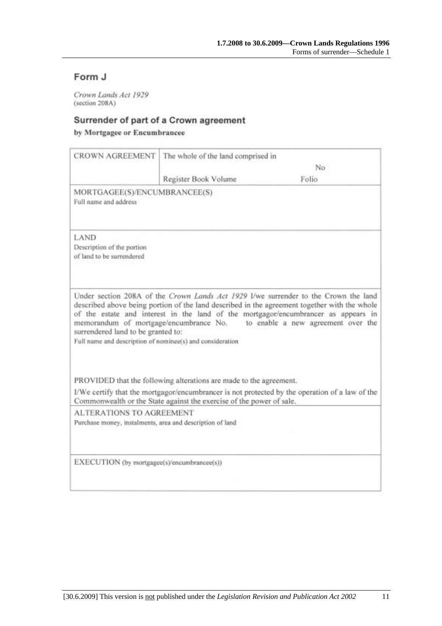# Form J

Crown Lands Act 1929 (section 208A)

## Surrender of part of a Crown agreement

by Mortgagee or Encumbrancee

| <b>CROWN AGREEMENT</b>                                                                          | The whole of the land comprised in                                   |                                                                                                                                                                                                                                                                                                                                                        |
|-------------------------------------------------------------------------------------------------|----------------------------------------------------------------------|--------------------------------------------------------------------------------------------------------------------------------------------------------------------------------------------------------------------------------------------------------------------------------------------------------------------------------------------------------|
|                                                                                                 |                                                                      | No                                                                                                                                                                                                                                                                                                                                                     |
|                                                                                                 | Register Book Volume                                                 | Folio                                                                                                                                                                                                                                                                                                                                                  |
| MORTGAGEE(S)/ENCUMBRANCEE(S)<br>Full name and address                                           |                                                                      |                                                                                                                                                                                                                                                                                                                                                        |
| LAND<br>Description of the portion<br>of land to be surrendered                                 |                                                                      |                                                                                                                                                                                                                                                                                                                                                        |
| surrendered land to be granted to:<br>Full name and description of nominee(s) and consideration |                                                                      | Under section 208A of the Crown Lands Act 1929 I/we surrender to the Crown the land<br>described above being portion of the land described in the agreement together with the whole<br>of the estate and interest in the land of the mortgagor/encumbrancer as appears in<br>memorandum of mortgage/encumbrance No. to enable a new agreement over the |
|                                                                                                 | PROVIDED that the following alterations are made to the agreement.   |                                                                                                                                                                                                                                                                                                                                                        |
|                                                                                                 | Commonwealth or the State against the exercise of the power of sale. | I/We certify that the mortgagor/encumbrancer is not protected by the operation of a law of the                                                                                                                                                                                                                                                         |
| <b>ALTERATIONS TO AGREEMENT</b><br>Purchase money, instalments, area and description of land    |                                                                      |                                                                                                                                                                                                                                                                                                                                                        |
| EXECUTION (by mortgagee(s)/encumbrancee(s))                                                     |                                                                      |                                                                                                                                                                                                                                                                                                                                                        |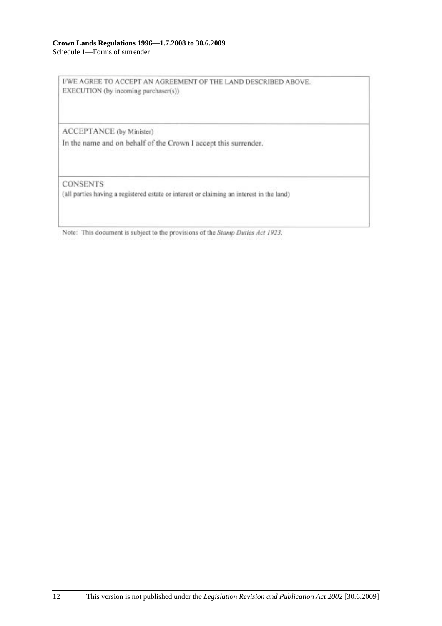I/WE AGREE TO ACCEPT AN AGREEMENT OF THE LAND DESCRIBED ABOVE. EXECUTION (by incoming purchaser(s))

ACCEPTANCE (by Minister)

In the name and on behalf of the Crown I accept this surrender.

**CONSENTS** 

(all parties having a registered estate or interest or claiming an interest in the land)

Note: This document is subject to the provisions of the Stamp Duties Act 1923.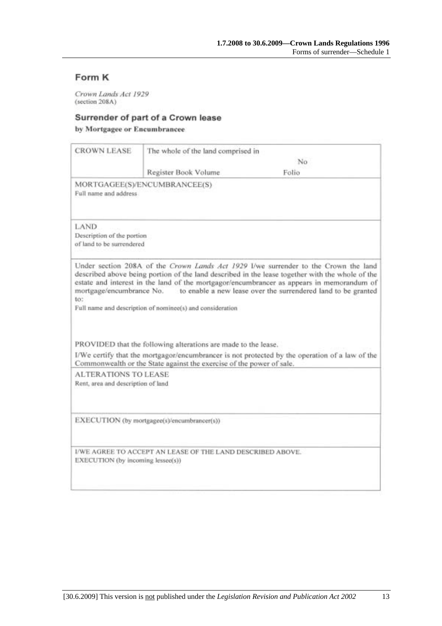# Form K

Crown Lands Act 1929 (section 208A)

#### Surrender of part of a Crown lease

by Mortgagee or Encumbrancee

|                                                                   | The whole of the land comprised in                                   |                                                                                                                                                                                                                                                                                                                                                                               |
|-------------------------------------------------------------------|----------------------------------------------------------------------|-------------------------------------------------------------------------------------------------------------------------------------------------------------------------------------------------------------------------------------------------------------------------------------------------------------------------------------------------------------------------------|
|                                                                   |                                                                      | No                                                                                                                                                                                                                                                                                                                                                                            |
|                                                                   | Register Book Volume                                                 | Folio                                                                                                                                                                                                                                                                                                                                                                         |
| Full name and address.                                            | MORTGAGEE(S)/ENCUMBRANCEE(S)                                         |                                                                                                                                                                                                                                                                                                                                                                               |
| LAND<br>Description of the portion<br>of land to be surrendered   |                                                                      |                                                                                                                                                                                                                                                                                                                                                                               |
| to:                                                               |                                                                      | Under section 208A of the Crown Lands Act 1929 I/we surrender to the Crown the land<br>described above being portion of the land described in the lease together with the whole of the<br>estate and interest in the land of the mortgagor/encumbrancer as appears in memorandum of<br>mortgage/encumbrance No. to enable a new lease over the surrendered land to be granted |
|                                                                   | Full name and description of nominee(s) and consideration            |                                                                                                                                                                                                                                                                                                                                                                               |
|                                                                   | PROVIDED that the following alterations are made to the lease.       |                                                                                                                                                                                                                                                                                                                                                                               |
|                                                                   | Commonwealth or the State against the exercise of the power of sale. | I/We certify that the mortgagor/encumbrancer is not protected by the operation of a law of the                                                                                                                                                                                                                                                                                |
| <b>ALTERATIONS TO LEASE</b><br>Rent, area and description of land |                                                                      |                                                                                                                                                                                                                                                                                                                                                                               |
|                                                                   | EXECUTION (by mortgagee(s)/encumbrancer(s))                          |                                                                                                                                                                                                                                                                                                                                                                               |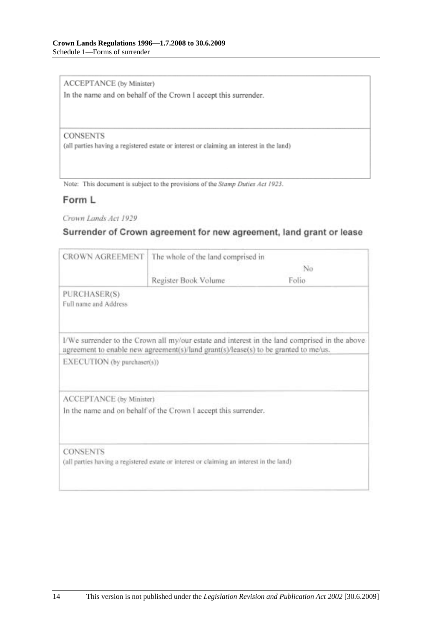ACCEPTANCE (by Minister)

In the name and on behalf of the Crown I accept this surrender.

#### **CONSENTS**

(all parties having a registered estate or interest or claiming an interest in the land)

Note: This document is subject to the provisions of the Stamp Duties Act 1923.

### Form L

Crown Lands Act 1929

### Surrender of Crown agreement for new agreement, land grant or lease

| <b>CROWN AGREEMENT</b>                | The whole of the land comprised in                                                       |                                                                                               |
|---------------------------------------|------------------------------------------------------------------------------------------|-----------------------------------------------------------------------------------------------|
|                                       | No                                                                                       |                                                                                               |
|                                       | Register Book Volume                                                                     | Folio                                                                                         |
| PURCHASER(S)<br>Full name and Address |                                                                                          |                                                                                               |
|                                       | agreement to enable new agreement(s)/land grant(s)/lease(s) to be granted to me/us.      | I/We surrender to the Crown all my/our estate and interest in the land comprised in the above |
| EXECUTION (by purchaser(s))           |                                                                                          |                                                                                               |
| ACCEPTANCE (by Minister)              |                                                                                          |                                                                                               |
|                                       | In the name and on behalf of the Crown I accept this surrender.                          |                                                                                               |
| <b>CONSENTS</b>                       |                                                                                          |                                                                                               |
|                                       | (all parties having a registered estate or interest or claiming an interest in the land) |                                                                                               |
|                                       |                                                                                          |                                                                                               |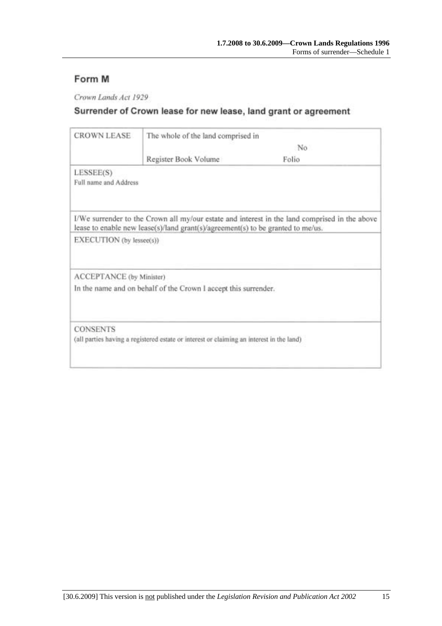# Form M

Crown Lands Act 1929

# Surrender of Crown lease for new lease, land grant or agreement

| <b>CROWN LEASE</b>       | The whole of the land comprised in                                                       |                                                                                               |  |
|--------------------------|------------------------------------------------------------------------------------------|-----------------------------------------------------------------------------------------------|--|
|                          |                                                                                          | No                                                                                            |  |
|                          | Register Book Volume                                                                     | Folio                                                                                         |  |
| LESSEE(S)                |                                                                                          |                                                                                               |  |
| Full name and Address    |                                                                                          |                                                                                               |  |
|                          | lease to enable new lease(s)/land grant(s)/agreement(s) to be granted to me/us.          | I/We surrender to the Crown all my/our estate and interest in the land comprised in the above |  |
| EXECUTION (by lessee(s)) |                                                                                          |                                                                                               |  |
| ACCEPTANCE (by Minister) |                                                                                          |                                                                                               |  |
|                          | In the name and on behalf of the Crown I accept this surrender.                          |                                                                                               |  |
| <b>CONSENTS</b>          |                                                                                          |                                                                                               |  |
|                          | (all parties having a registered estate or interest or claiming an interest in the land) |                                                                                               |  |
|                          |                                                                                          |                                                                                               |  |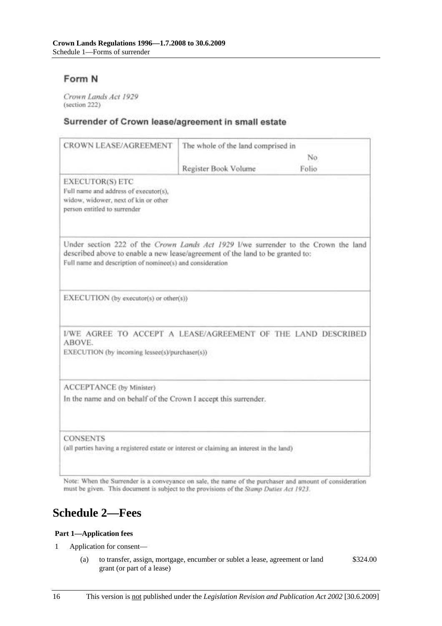# Form N

Crown Lands Act 1929 (section 222)

#### Surrender of Crown lease/agreement in small estate

| <b>CROWN LEASE/AGREEMENT</b>                                                                                                                                                                                                     | The whole of the land comprised in |       |
|----------------------------------------------------------------------------------------------------------------------------------------------------------------------------------------------------------------------------------|------------------------------------|-------|
|                                                                                                                                                                                                                                  | No                                 |       |
|                                                                                                                                                                                                                                  | Register Book Volume               | Folio |
| <b>EXECUTOR(S) ETC</b><br>Full name and address of executor(s),<br>widow, widower, next of kin or other<br>person entitled to surrender                                                                                          |                                    |       |
| Under section 222 of the Crown Lands Act 1929 I/we surrender to the Crown the land<br>described above to enable a new lease/agreement of the land to be granted to:<br>Full name and description of nominee(s) and consideration |                                    |       |
| EXECUTION (by executor(s) or other(s))                                                                                                                                                                                           |                                    |       |
| I/WE AGREE TO ACCEPT A LEASE/AGREEMENT OF THE LAND DESCRIBED<br>ABOVE.<br>EXECUTION (by incoming lessee(s)/purchaser(s))                                                                                                         |                                    |       |
| ACCEPTANCE (by Minister)<br>In the name and on behalf of the Crown I accept this surrender.                                                                                                                                      |                                    |       |
| <b>CONSENTS</b><br>(all parties having a registered estate or interest or claiming an interest in the land)                                                                                                                      |                                    |       |

Note: When the Surrender is a conveyance on sale, the name of the purchaser and amount of consideration must be given. This document is subject to the provisions of the Stamp Duties Act 1923.

# **Schedule 2—Fees**

#### **Part 1—Application fees**

- 1 Application for consent—
	- (a) to transfer, assign, mortgage, encumber or sublet a lease, agreement or land grant (or part of a lease) \$324.00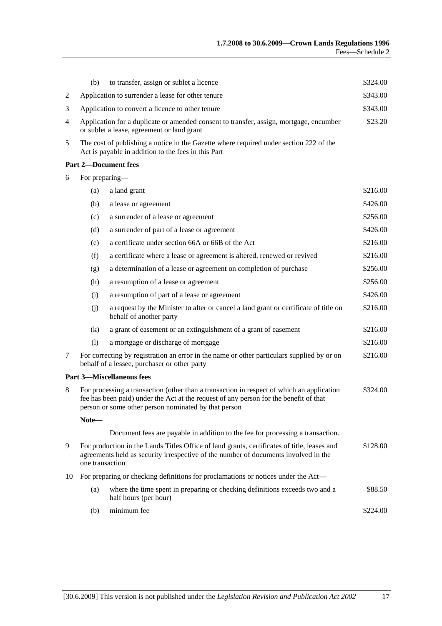|    | (b)                                                                                                                                                                                                                                        | to transfer, assign or sublet a licence                                                                                                       | \$324.00 |
|----|--------------------------------------------------------------------------------------------------------------------------------------------------------------------------------------------------------------------------------------------|-----------------------------------------------------------------------------------------------------------------------------------------------|----------|
| 2  |                                                                                                                                                                                                                                            | Application to surrender a lease for other tenure                                                                                             | \$343.00 |
| 3  | \$343.00<br>Application to convert a licence to other tenure                                                                                                                                                                               |                                                                                                                                               |          |
| 4  | \$23.20<br>Application for a duplicate or amended consent to transfer, assign, mortgage, encumber<br>or sublet a lease, agreement or land grant                                                                                            |                                                                                                                                               |          |
| 5  |                                                                                                                                                                                                                                            | The cost of publishing a notice in the Gazette where required under section 222 of the<br>Act is payable in addition to the fees in this Part |          |
|    |                                                                                                                                                                                                                                            | <b>Part 2-Document fees</b>                                                                                                                   |          |
| 6  | For preparing-                                                                                                                                                                                                                             |                                                                                                                                               |          |
|    | (a)                                                                                                                                                                                                                                        | a land grant                                                                                                                                  | \$216.00 |
|    | (b)                                                                                                                                                                                                                                        | a lease or agreement                                                                                                                          | \$426.00 |
|    | (c)                                                                                                                                                                                                                                        | a surrender of a lease or agreement                                                                                                           | \$256.00 |
|    | (d)                                                                                                                                                                                                                                        | a surrender of part of a lease or agreement                                                                                                   | \$426.00 |
|    | (e)                                                                                                                                                                                                                                        | a certificate under section 66A or 66B of the Act                                                                                             | \$216.00 |
|    | (f)                                                                                                                                                                                                                                        | a certificate where a lease or agreement is altered, renewed or revived                                                                       | \$216.00 |
|    | (g)                                                                                                                                                                                                                                        | a determination of a lease or agreement on completion of purchase                                                                             | \$256.00 |
|    | (h)                                                                                                                                                                                                                                        | a resumption of a lease or agreement                                                                                                          | \$256.00 |
|    | (i)                                                                                                                                                                                                                                        | a resumption of part of a lease or agreement                                                                                                  | \$426.00 |
|    | (i)                                                                                                                                                                                                                                        | a request by the Minister to alter or cancel a land grant or certificate of title on<br>behalf of another party                               | \$216.00 |
|    | (k)                                                                                                                                                                                                                                        | a grant of easement or an extinguishment of a grant of easement                                                                               | \$216.00 |
|    | (1)                                                                                                                                                                                                                                        | a mortgage or discharge of mortgage                                                                                                           | \$216.00 |
| 7  |                                                                                                                                                                                                                                            | For correcting by registration an error in the name or other particulars supplied by or on<br>behalf of a lessee, purchaser or other party    | \$216.00 |
|    |                                                                                                                                                                                                                                            | <b>Part 3-Miscellaneous fees</b>                                                                                                              |          |
| 8  | For processing a transaction (other than a transaction in respect of which an application<br>fee has been paid) under the Act at the request of any person for the benefit of that<br>person or some other person nominated by that person |                                                                                                                                               | \$324.00 |
|    | Note-                                                                                                                                                                                                                                      |                                                                                                                                               |          |
|    |                                                                                                                                                                                                                                            | Document fees are payable in addition to the fee for processing a transaction.                                                                |          |
| 9  | For production in the Lands Titles Office of land grants, certificates of title, leases and<br>\$128.00<br>agreements held as security irrespective of the number of documents involved in the<br>one transaction                          |                                                                                                                                               |          |
| 10 | For preparing or checking definitions for proclamations or notices under the Act—                                                                                                                                                          |                                                                                                                                               |          |
|    | (a)                                                                                                                                                                                                                                        | where the time spent in preparing or checking definitions exceeds two and a<br>half hours (per hour)                                          | \$88.50  |
|    | (b)                                                                                                                                                                                                                                        | minimum fee                                                                                                                                   | \$224.00 |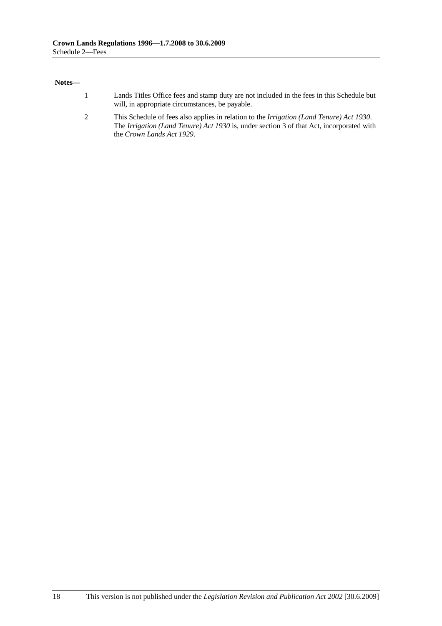#### **Notes—**

- 1 Lands Titles Office fees and stamp duty are not included in the fees in this Schedule but will, in appropriate circumstances, be payable.
- 2 This Schedule of fees also applies in relation to the *Irrigation (Land Tenure) Act 1930*. The *Irrigation (Land Tenure) Act 1930* is, under section 3 of that Act, incorporated with the *Crown Lands Act 1929*.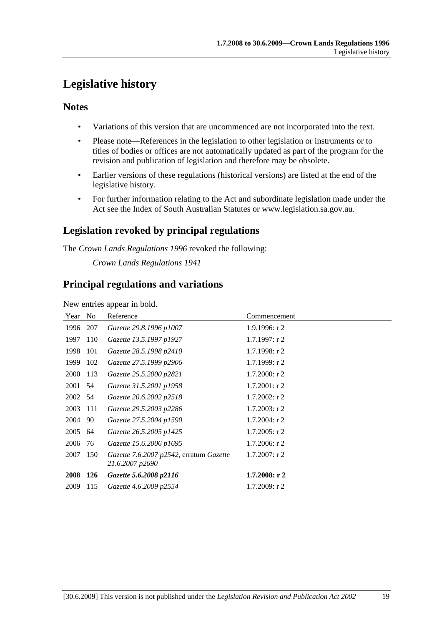# **Legislative history**

### **Notes**

- Variations of this version that are uncommenced are not incorporated into the text.
- Please note—References in the legislation to other legislation or instruments or to titles of bodies or offices are not automatically updated as part of the program for the revision and publication of legislation and therefore may be obsolete.
- Earlier versions of these regulations (historical versions) are listed at the end of the legislative history.
- For further information relating to the Act and subordinate legislation made under the Act see the Index of South Australian Statutes or www.legislation.sa.gov.au.

# **Legislation revoked by principal regulations**

The *Crown Lands Regulations 1996* revoked the following:

*Crown Lands Regulations 1941*

### **Principal regulations and variations**

New entries appear in bold.

| Year        | N <sub>0</sub> | Reference                                                  | Commencement     |
|-------------|----------------|------------------------------------------------------------|------------------|
| 1996        | 207            | Gazette 29.8.1996 p1007                                    | 1.9.1996: r 2    |
| 1997        | 110            | Gazette 13.5.1997 p1927                                    | $1.7.1997:$ r 2  |
| 1998        | 101            | Gazette 28.5.1998 p2410                                    | $1.7.1998:$ r 2  |
| 1999        | 102            | Gazette 27.5.1999 p2906                                    | 1.7.1999: r2     |
| 2000        | 113            | Gazette 25.5.2000 p2821                                    | $1.7.2000:$ r 2  |
| 2001        | -54            | Gazette 31.5.2001 p1958                                    | $1.7.2001$ : r 2 |
| 2002 54     |                | Gazette 20.6.2002 p2518                                    | $1.7.2002$ : r 2 |
| 2003        | 111            | Gazette 29.5.2003 p2286                                    | $1.7.2003$ : r 2 |
| 2004        | 90             | Gazette 27.5.2004 p1590                                    | $1.7.2004$ : r 2 |
| 2005 64     |                | Gazette 26.5.2005 p1425                                    | $1.7.2005$ : r 2 |
| 2006        | 76             | Gazette 15.6.2006 p1695                                    | $1.7.2006$ : r 2 |
| 2007        | 150            | Gazette 7.6.2007 p2542, erratum Gazette<br>21.6.2007 p2690 | $1.7.2007$ : r 2 |
| <b>2008</b> | 126            | Gazette 5.6.2008 p2116                                     | $1.7.2008:$ r 2  |
| 2009        | 115            | Gazette 4.6.2009 p2554                                     | 1.7.2009: r2     |